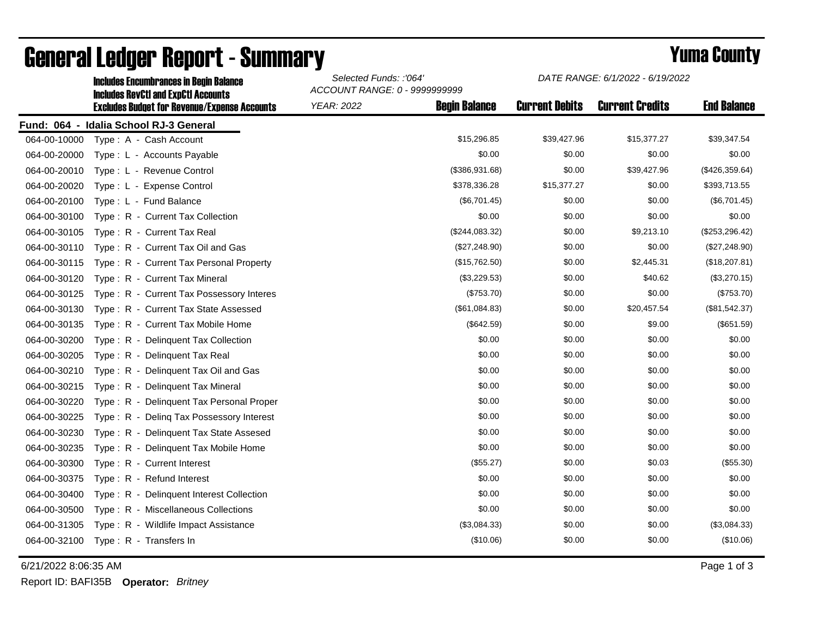|              | <b>Includes Encumbrances in Begin Balance</b><br><b>Includes RevCtI and ExpCtI Accounts</b> | Selected Funds: :'064'<br>ACCOUNT RANGE: 0 - 9999999999 |                      | DATE RANGE: 6/1/2022 - 6/19/2022 |                        |                    |
|--------------|---------------------------------------------------------------------------------------------|---------------------------------------------------------|----------------------|----------------------------------|------------------------|--------------------|
|              | <b>Excludes Budget for Revenue/Expense Accounts</b>                                         | <b>YEAR: 2022</b>                                       | <b>Begin Balance</b> | <b>Current Debits</b>            | <b>Current Credits</b> | <b>End Balance</b> |
|              | Fund: 064 - Idalia School RJ-3 General                                                      |                                                         |                      |                                  |                        |                    |
| 064-00-10000 | Type: A - Cash Account                                                                      |                                                         | \$15,296.85          | \$39,427.96                      | \$15,377.27            | \$39,347.54        |
| 064-00-20000 | Type: L - Accounts Payable                                                                  |                                                         | \$0.00               | \$0.00                           | \$0.00                 | \$0.00             |
| 064-00-20010 | Type: L - Revenue Control                                                                   |                                                         | (\$386,931.68)       | \$0.00                           | \$39,427.96            | (\$426,359.64)     |
| 064-00-20020 | Type: L - Expense Control                                                                   |                                                         | \$378,336.28         | \$15,377.27                      | \$0.00                 | \$393,713.55       |
| 064-00-20100 | Type: L - Fund Balance                                                                      |                                                         | (\$6,701.45)         | \$0.00                           | \$0.00                 | (\$6,701.45)       |
| 064-00-30100 | Type: R - Current Tax Collection                                                            |                                                         | \$0.00               | \$0.00                           | \$0.00                 | \$0.00             |
| 064-00-30105 | Type: R - Current Tax Real                                                                  |                                                         | (\$244,083.32)       | \$0.00                           | \$9,213.10             | (\$253, 296.42)    |
| 064-00-30110 | Type: R - Current Tax Oil and Gas                                                           |                                                         | (\$27,248.90)        | \$0.00                           | \$0.00                 | (\$27,248.90)      |
| 064-00-30115 | Type: R - Current Tax Personal Property                                                     |                                                         | (\$15,762.50)        | \$0.00                           | \$2,445.31             | (\$18,207.81)      |
| 064-00-30120 | Type: R - Current Tax Mineral                                                               |                                                         | (\$3,229.53)         | \$0.00                           | \$40.62                | (\$3,270.15)       |
| 064-00-30125 | Type: R - Current Tax Possessory Interes                                                    |                                                         | (\$753.70)           | \$0.00                           | \$0.00                 | (\$753.70)         |
| 064-00-30130 | Type: R - Current Tax State Assessed                                                        |                                                         | (\$61,084.83)        | \$0.00                           | \$20,457.54            | (\$81,542.37)      |
| 064-00-30135 | Type: R - Current Tax Mobile Home                                                           |                                                         | (\$642.59)           | \$0.00                           | \$9.00                 | (\$651.59)         |
| 064-00-30200 | Type: R - Delinquent Tax Collection                                                         |                                                         | \$0.00               | \$0.00                           | \$0.00                 | \$0.00             |
| 064-00-30205 | Type: R - Delinquent Tax Real                                                               |                                                         | \$0.00               | \$0.00                           | \$0.00                 | \$0.00             |
| 064-00-30210 | Type: R - Delinquent Tax Oil and Gas                                                        |                                                         | \$0.00               | \$0.00                           | \$0.00                 | \$0.00             |
| 064-00-30215 | Type: R - Delinquent Tax Mineral                                                            |                                                         | \$0.00               | \$0.00                           | \$0.00                 | \$0.00             |
| 064-00-30220 | Type: R - Delinquent Tax Personal Proper                                                    |                                                         | \$0.00               | \$0.00                           | \$0.00                 | \$0.00             |
| 064-00-30225 | Type: R - Deling Tax Possessory Interest                                                    |                                                         | \$0.00               | \$0.00                           | \$0.00                 | \$0.00             |
| 064-00-30230 | Type: R - Delinquent Tax State Assesed                                                      |                                                         | \$0.00               | \$0.00                           | \$0.00                 | \$0.00             |
| 064-00-30235 | Type: R - Delinquent Tax Mobile Home                                                        |                                                         | \$0.00               | \$0.00                           | \$0.00                 | \$0.00             |
| 064-00-30300 | Type: R - Current Interest                                                                  |                                                         | (\$55.27)            | \$0.00                           | \$0.03                 | (\$55.30)          |
| 064-00-30375 | Type: R - Refund Interest                                                                   |                                                         | \$0.00               | \$0.00                           | \$0.00                 | \$0.00             |
| 064-00-30400 | Type: R - Delinquent Interest Collection                                                    |                                                         | \$0.00               | \$0.00                           | \$0.00                 | \$0.00             |
| 064-00-30500 | Type: R - Miscellaneous Collections                                                         |                                                         | \$0.00               | \$0.00                           | \$0.00                 | \$0.00             |
| 064-00-31305 | Type: R - Wildlife Impact Assistance                                                        |                                                         | (\$3,084.33)         | \$0.00                           | \$0.00                 | (\$3,084.33)       |
| 064-00-32100 | Type: R - Transfers In                                                                      |                                                         | (\$10.06)            | \$0.00                           | \$0.00                 | (\$10.06)          |

## General Ledger Report - Summary **Example 2018** Yuma County

6/21/2022 8:06:35 AM Page 1 of 3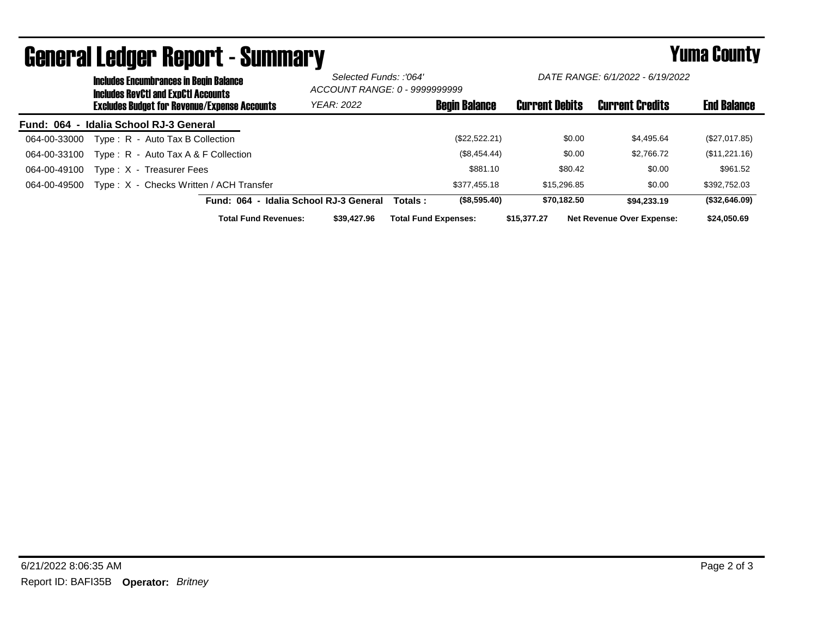|                                        |  | <b>Includes Encumbrances in Begin Balance</b><br><b>Includes RevCtI and ExpCtI Accounts</b><br><b>Excludes Budget for Revenue/Expense Accounts</b> |                                        | Selected Funds: :'064'<br>ACCOUNT RANGE: 0 - 9999999999 |                             | DATE RANGE: 6/1/2022 - 6/19/2022 |                       |             |                                  |                    |
|----------------------------------------|--|----------------------------------------------------------------------------------------------------------------------------------------------------|----------------------------------------|---------------------------------------------------------|-----------------------------|----------------------------------|-----------------------|-------------|----------------------------------|--------------------|
|                                        |  |                                                                                                                                                    |                                        | <b>YEAR: 2022</b>                                       |                             | <b>Begin Balance</b>             | <b>Current Debits</b> |             | <b>Current Credits</b>           | <b>End Balance</b> |
| Fund: 064 - Idalia School RJ-3 General |  |                                                                                                                                                    |                                        |                                                         |                             |                                  |                       |             |                                  |                    |
| 064-00-33000                           |  | Type: R - Auto Tax B Collection                                                                                                                    |                                        |                                                         |                             | (\$22,522.21)                    |                       | \$0.00      | \$4,495.64                       | (\$27,017.85)      |
| 064-00-33100                           |  | Type: $R -$ Auto Tax A & F Collection                                                                                                              |                                        |                                                         |                             | (\$8,454.44)                     |                       | \$0.00      | \$2,766.72                       | (\$11,221.16)      |
| 064-00-49100                           |  | Type: X - Treasurer Fees                                                                                                                           |                                        |                                                         |                             | \$881.10                         |                       | \$80.42     | \$0.00                           | \$961.52           |
| 064-00-49500                           |  | Type: X - Checks Written / ACH Transfer                                                                                                            |                                        |                                                         |                             | \$377.455.18                     |                       | \$15,296.85 | \$0.00                           | \$392,752.03       |
|                                        |  |                                                                                                                                                    | Fund: 064 - Idalia School RJ-3 General |                                                         | Totals :                    | (\$8,595.40)                     |                       | \$70.182.50 | \$94,233,19                      | (\$32,646.09)      |
|                                        |  |                                                                                                                                                    | <b>Total Fund Revenues:</b>            | \$39,427.96                                             | <b>Total Fund Expenses:</b> |                                  | \$15,377,27           |             | <b>Net Revenue Over Expense:</b> | \$24,050.69        |

## General Ledger Report - Summary **Example 2018** Yuma County